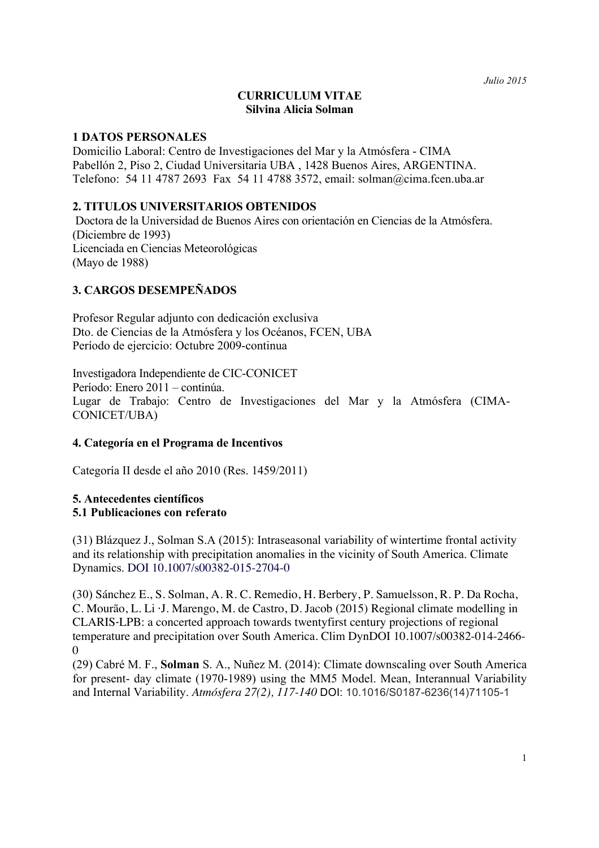# **CURRICULUM VITAE Silvina Alicia Solman**

# **1 DATOS PERSONALES**

Domicilio Laboral: Centro de Investigaciones del Mar y la Atmósfera - CIMA Pabellón 2, Piso 2, Ciudad Universitaria UBA , 1428 Buenos Aires, ARGENTINA. Telefono: 54 11 4787 2693 Fax 54 11 4788 3572, email: solman@cima.fcen.uba.ar

# **2. TITULOS UNIVERSITARIOS OBTENIDOS**

Doctora de la Universidad de Buenos Aires con orientación en Ciencias de la Atmósfera. (Diciembre de 1993) Licenciada en Ciencias Meteorológicas (Mayo de 1988)

# **3. CARGOS DESEMPEÑADOS**

Profesor Regular adjunto con dedicación exclusiva Dto. de Ciencias de la Atmósfera y los Océanos, FCEN, UBA Período de ejercicio: Octubre 2009-continua

Investigadora Independiente de CIC-CONICET Período: Enero 2011 – continúa. Lugar de Trabajo: Centro de Investigaciones del Mar y la Atmósfera (CIMA-CONICET/UBA)

## **4. Categoría en el Programa de Incentivos**

Categoría II desde el año 2010 (Res. 1459/2011)

#### **5. Antecedentes científicos 5.1 Publicaciones con referato**

(31) Blázquez J., Solman S.A (2015): Intraseasonal variability of wintertime frontal activity and its relationship with precipitation anomalies in the vicinity of South America. Climate Dynamics. DOI 10.1007/s00382-015-2704-0

(30) Sánchez E., S. Solman, A. R. C. Remedio, H. Berbery, P. Samuelsson, R. P. Da Rocha, C. Mourão, L. Li ·J. Marengo, M. de Castro, D. Jacob (2015) Regional climate modelling in CLARIS‐LPB: a concerted approach towards twentyfirst century projections of regional temperature and precipitation over South America. Clim DynDOI 10.1007/s00382-014-2466-  $\Omega$ 

(29) Cabré M. F., **Solman** S. A., Nuñez M. (2014): Climate downscaling over South America for present- day climate (1970-1989) using the MM5 Model. Mean, Interannual Variability and Internal Variability. *Atmósfera 27(2), 117-140* DOI: 10.1016/S0187-6236(14)71105-1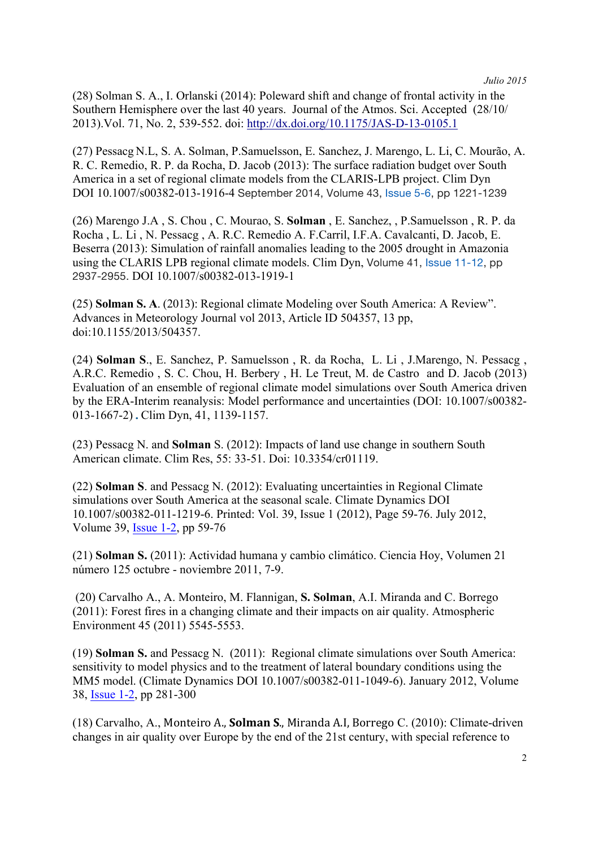(28) Solman S. A., I. Orlanski (2014): Poleward shift and change of frontal activity in the Southern Hemisphere over the last 40 years. Journal of the Atmos. Sci. Accepted (28/10/ 2013).Vol. 71, No. 2, 539-552. doi: http://dx.doi.org/10.1175/JAS-D-13-0105.1

(27) Pessacg N.L, S. A. Solman, P.Samuelsson, E. Sanchez, J. Marengo, L. Li, C. Mourão, A. R. C. Remedio, R. P. da Rocha, D. Jacob (2013): The surface radiation budget over South America in a set of regional climate models from the CLARIS-LPB project. Clim Dyn DOI 10.1007/s00382-013-1916-4 September 2014, Volume 43, Issue 5-6, pp 1221-1239

(26) Marengo J.A , S. Chou , C. Mourao, S. **Solman** , E. Sanchez, , P.Samuelsson , R. P. da Rocha , L. Li , N. Pessacg , A. R.C. Remedio A. F.Carril, I.F.A. Cavalcanti, D. Jacob, E. Beserra (2013): Simulation of rainfall anomalies leading to the 2005 drought in Amazonia using the CLARIS LPB regional climate models. Clim Dyn, Volume 41, Issue 11-12, pp 2937-2955. DOI 10.1007/s00382-013-1919-1

(25) **Solman S. A**. (2013): Regional climate Modeling over South America: A Review". Advances in Meteorology Journal vol 2013, Article ID 504357, 13 pp, doi:10.1155/2013/504357.

(24) **Solman S**., E. Sanchez, P. Samuelsson , R. da Rocha, L. Li , J.Marengo, N. Pessacg , A.R.C. Remedio , S. C. Chou, H. Berbery , H. Le Treut, M. de Castro and D. Jacob (2013) Evaluation of an ensemble of regional climate model simulations over South America driven by the ERA-Interim reanalysis: Model performance and uncertainties (DOI: 10.1007/s00382- 013-1667-2).Clim Dyn, 41, 1139-1157.

(23) Pessacg N. and **Solman** S. (2012): Impacts of land use change in southern South American climate. Clim Res, 55: 33-51. Doi: 10.3354/cr01119.

(22) **Solman S**. and Pessacg N. (2012): Evaluating uncertainties in Regional Climate simulations over South America at the seasonal scale. Climate Dynamics DOI 10.1007/s00382-011-1219-6. Printed: Vol. 39, Issue 1 (2012), Page 59-76. July 2012, Volume 39, Issue 1-2, pp 59-76

(21) **Solman S.** (2011): Actividad humana y cambio climático. Ciencia Hoy, Volumen 21 número 125 octubre - noviembre 2011, 7-9.

(20) Carvalho A., A. Monteiro, M. Flannigan, **S. Solman**, A.I. Miranda and C. Borrego (2011): Forest fires in a changing climate and their impacts on air quality. Atmospheric Environment 45 (2011) 5545-5553.

(19) **Solman S.** and Pessacg N. (2011): Regional climate simulations over South America: sensitivity to model physics and to the treatment of lateral boundary conditions using the MM5 model. (Climate Dynamics DOI 10.1007/s00382-011-1049-6). January 2012, Volume 38, Issue 1-2, pp 281-300

(18) Carvalho, A., Monteiro A., **Solman S**., Miranda A.I, Borrego C. (2010): Climate-driven changes in air quality over Europe by the end of the 21st century, with special reference to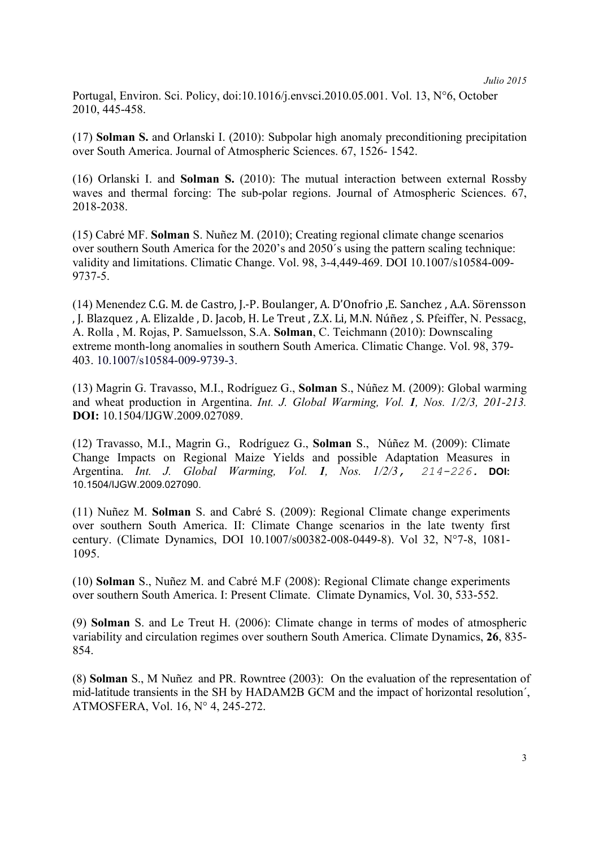Portugal, Environ. Sci. Policy, doi:10.1016/j.envsci.2010.05.001. Vol. 13, N°6, October 2010, 445-458.

(17) **Solman S.** and Orlanski I. (2010): Subpolar high anomaly preconditioning precipitation over South America. Journal of Atmospheric Sciences. 67, 1526- 1542.

(16) Orlanski I. and **Solman S.** (2010): The mutual interaction between external Rossby waves and thermal forcing: The sub-polar regions. Journal of Atmospheric Sciences. 67, 2018-2038.

(15) Cabré MF. **Solman** S. Nuñez M. (2010); Creating regional climate change scenarios over southern South America for the 2020's and 2050´s using the pattern scaling technique: validity and limitations. Climatic Change. Vol. 98, 3-4,449-469. DOI 10.1007/s10584-009- 9737-5.

(14) Menendez C.G. M. de Castro, J.-P. Boulanger, A. D'Onofrio ,E. Sanchez , A.A. Sörensson , J. Blazquez, A. Elizalde, D. Jacob, H. Le Treut, Z.X. Li, M.N. Núñez, S. Pfeiffer, N. Pessacg, A. Rolla , M. Rojas, P. Samuelsson, S.A. **Solman**, C. Teichmann (2010): Downscaling extreme month-long anomalies in southern South America. Climatic Change. Vol. 98, 379- 403. 10.1007/s10584-009-9739-3.

(13) Magrin G. Travasso, M.I., Rodríguez G., **Solman** S., Núñez M. (2009): Global warming and wheat production in Argentina. *Int. J. Global Warming, Vol. 1, Nos. 1/2/3, 201-213.* **DOI:** 10.1504/IJGW.2009.027089.

(12) Travasso, M.I., Magrin G., Rodríguez G., **Solman** S., Núñez M. (2009): Climate Change Impacts on Regional Maize Yields and possible Adaptation Measures in Argentina. *Int. J. Global Warming, Vol. 1, Nos. 1/2/3, 214-226.* **DOI:** 10.1504/IJGW.2009.027090.

(11) Nuñez M. **Solman** S. and Cabré S. (2009): Regional Climate change experiments over southern South America. II: Climate Change scenarios in the late twenty first century. (Climate Dynamics, DOI 10.1007/s00382-008-0449-8). Vol 32, N°7-8, 1081- 1095.

(10) **Solman** S., Nuñez M. and Cabré M.F (2008): Regional Climate change experiments over southern South America. I: Present Climate. Climate Dynamics, Vol. 30, 533-552.

(9) **Solman** S. and Le Treut H. (2006): Climate change in terms of modes of atmospheric variability and circulation regimes over southern South America. Climate Dynamics, **26**, 835- 854.

(8) **Solman** S., M Nuñez and PR. Rowntree (2003): On the evaluation of the representation of mid-latitude transients in the SH by HADAM2B GCM and the impact of horizontal resolution´, ATMOSFERA, Vol. 16, N° 4, 245-272.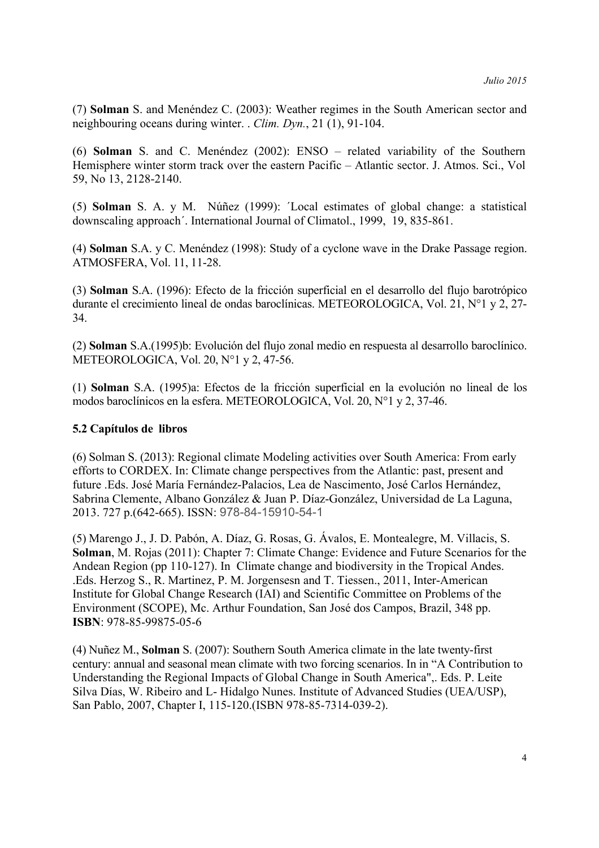(7) **Solman** S. and Menéndez C. (2003): Weather regimes in the South American sector and neighbouring oceans during winter. . *Clim. Dyn.*, 21 (1), 91-104.

(6) **Solman** S. and C. Menéndez (2002): ENSO – related variability of the Southern Hemisphere winter storm track over the eastern Pacific – Atlantic sector. J. Atmos. Sci., Vol 59, No 13, 2128-2140.

(5) **Solman** S. A. y M. Núñez (1999): ´Local estimates of global change: a statistical downscaling approach´. International Journal of Climatol., 1999, 19, 835-861.

(4) **Solman** S.A. y C. Menéndez (1998): Study of a cyclone wave in the Drake Passage region. ATMOSFERA, Vol. 11, 11-28.

(3) **Solman** S.A. (1996): Efecto de la fricción superficial en el desarrollo del flujo barotrópico durante el crecimiento lineal de ondas baroclínicas. METEOROLOGICA, Vol. 21, N°1 y 2, 27- 34.

(2) **Solman** S.A.(1995)b: Evolución del flujo zonal medio en respuesta al desarrollo baroclínico. METEOROLOGICA, Vol. 20, N°1 y 2, 47-56.

(1) **Solman** S.A. (1995)a: Efectos de la fricción superficial en la evolución no lineal de los modos baroclínicos en la esfera. METEOROLOGICA, Vol. 20, N°1 y 2, 37-46.

# **5.2 Capítulos de libros**

(6) Solman S. (2013): Regional climate Modeling activities over South America: From early efforts to CORDEX. In: Climate change perspectives from the Atlantic: past, present and future .Eds. José María Fernández-Palacios, Lea de Nascimento, José Carlos Hernández, Sabrina Clemente, Albano González & Juan P. Díaz-González, Universidad de La Laguna, 2013. 727 p.(642-665). ISSN: 978-84-15910-54-1

(5) Marengo J., J. D. Pabón, A. Díaz, G. Rosas, G. Ávalos, E. Montealegre, M. Villacis, S. **Solman**, M. Rojas (2011): Chapter 7: Climate Change: Evidence and Future Scenarios for the Andean Region (pp 110-127). In Climate change and biodiversity in the Tropical Andes. .Eds. Herzog S., R. Martinez, P. M. Jorgensesn and T. Tiessen., 2011, Inter-American Institute for Global Change Research (IAI) and Scientific Committee on Problems of the Environment (SCOPE), Mc. Arthur Foundation, San José dos Campos, Brazil, 348 pp. **ISBN**: 978-85-99875-05-6

(4) Nuñez M., **Solman** S. (2007): Southern South America climate in the late twenty-first century: annual and seasonal mean climate with two forcing scenarios. In in "A Contribution to Understanding the Regional Impacts of Global Change in South America",. Eds. P. Leite Silva Días, W. Ribeiro and L- Hidalgo Nunes. Institute of Advanced Studies (UEA/USP), San Pablo, 2007, Chapter I, 115-120.(ISBN 978-85-7314-039-2).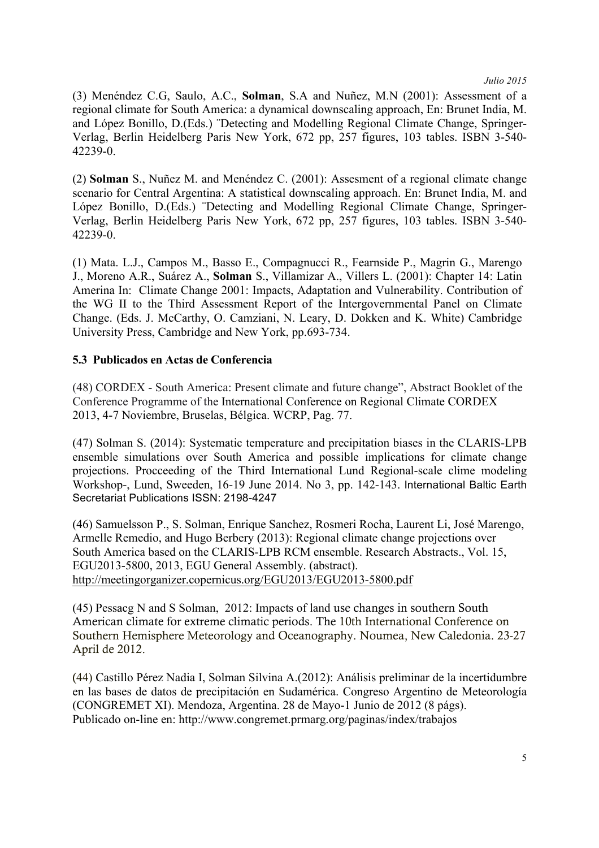(3) Menéndez C.G, Saulo, A.C., **Solman**, S.A and Nuñez, M.N (2001): Assessment of a regional climate for South America: a dynamical downscaling approach, En: Brunet India, M. and López Bonillo, D.(Eds.) ¨Detecting and Modelling Regional Climate Change, Springer-Verlag, Berlin Heidelberg Paris New York, 672 pp, 257 figures, 103 tables. ISBN 3-540- 42239-0.

(2) **Solman** S., Nuñez M. and Menéndez C. (2001): Assesment of a regional climate change scenario for Central Argentina: A statistical downscaling approach. En: Brunet India, M. and López Bonillo, D.(Eds.) ¨Detecting and Modelling Regional Climate Change, Springer-Verlag, Berlin Heidelberg Paris New York, 672 pp, 257 figures, 103 tables. ISBN 3-540- 42239-0.

(1) Mata. L.J., Campos M., Basso E., Compagnucci R., Fearnside P., Magrin G., Marengo J., Moreno A.R., Suárez A., **Solman** S., Villamizar A., Villers L. (2001): Chapter 14: Latin Amerina In: Climate Change 2001: Impacts, Adaptation and Vulnerability. Contribution of the WG II to the Third Assessment Report of the Intergovernmental Panel on Climate Change. (Eds. J. McCarthy, O. Camziani, N. Leary, D. Dokken and K. White) Cambridge University Press, Cambridge and New York, pp.693-734.

# **5.3 Publicados en Actas de Conferencia**

(48) CORDEX - South America: Present climate and future change", Abstract Booklet of the Conference Programme of the International Conference on Regional Climate CORDEX 2013, 4-7 Noviembre, Bruselas, Bélgica. WCRP, Pag. 77.

(47) Solman S. (2014): Systematic temperature and precipitation biases in the CLARIS-LPB ensemble simulations over South America and possible implications for climate change projections. Procceeding of the Third International Lund Regional-scale clime modeling Workshop-, Lund, Sweeden, 16-19 June 2014. No 3, pp. 142-143. International Baltic Earth Secretariat Publications ISSN: 2198-4247

(46) Samuelsson P., S. Solman, Enrique Sanchez, Rosmeri Rocha, Laurent Li, José Marengo, Armelle Remedio, and Hugo Berbery (2013): Regional climate change projections over South America based on the CLARIS-LPB RCM ensemble. Research Abstracts., Vol. 15, EGU2013-5800, 2013, EGU General Assembly. (abstract). http://meetingorganizer.copernicus.org/EGU2013/EGU2013-5800.pdf

(45) Pessacg N and S Solman, 2012: Impacts of land use changes in southern South American climate for extreme climatic periods. The 10th International Conference on Southern Hemisphere Meteorology and Oceanography. Noumea, New Caledonia. 23-27 April de 2012.

(44) Castillo Pérez Nadia I, Solman Silvina A.(2012): Análisis preliminar de la incertidumbre en las bases de datos de precipitación en Sudamérica. Congreso Argentino de Meteorología (CONGREMET XI). Mendoza, Argentina. 28 de Mayo-1 Junio de 2012 (8 págs). Publicado on-line en: http://www.congremet.prmarg.org/paginas/index/trabajos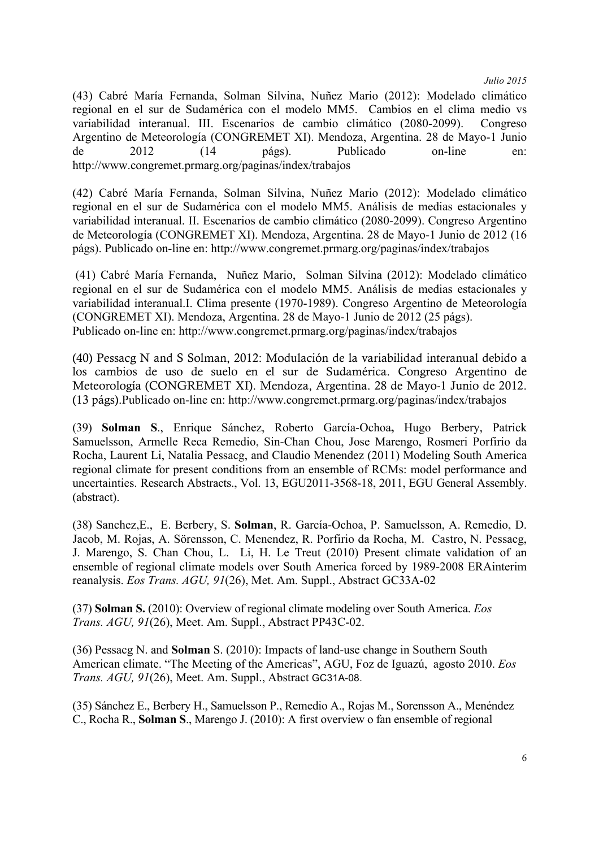(43) Cabré María Fernanda, Solman Silvina, Nuñez Mario (2012): Modelado climático regional en el sur de Sudamérica con el modelo MM5. Cambios en el clima medio vs variabilidad interanual. III. Escenarios de cambio climático (2080-2099). Congreso Argentino de Meteorología (CONGREMET XI). Mendoza, Argentina. 28 de Mayo-1 Junio de 2012 (14 págs). Publicado on-line en: http://www.congremet.prmarg.org/paginas/index/trabajos

(42) Cabré María Fernanda, Solman Silvina, Nuñez Mario (2012): Modelado climático regional en el sur de Sudamérica con el modelo MM5. Análisis de medias estacionales y variabilidad interanual. II. Escenarios de cambio climático (2080-2099). Congreso Argentino de Meteorología (CONGREMET XI). Mendoza, Argentina. 28 de Mayo-1 Junio de 2012 (16 págs). Publicado on-line en: http://www.congremet.prmarg.org/paginas/index/trabajos

(41) Cabré María Fernanda, Nuñez Mario, Solman Silvina (2012): Modelado climático regional en el sur de Sudamérica con el modelo MM5. Análisis de medias estacionales y variabilidad interanual.I. Clima presente (1970-1989). Congreso Argentino de Meteorología (CONGREMET XI). Mendoza, Argentina. 28 de Mayo-1 Junio de 2012 (25 págs). Publicado on-line en: http://www.congremet.prmarg.org/paginas/index/trabajos

(40) Pessacg N and S Solman, 2012: Modulación de la variabilidad interanual debido a los cambios de uso de suelo en el sur de Sudamérica. Congreso Argentino de Meteorología (CONGREMET XI). Mendoza, Argentina. 28 de Mayo-1 Junio de 2012. (13 págs).Publicado on-line en: http://www.congremet.prmarg.org/paginas/index/trabajos

(39) **Solman S**., Enrique Sánchez, Roberto García-Ochoa**,** Hugo Berbery, Patrick Samuelsson, Armelle Reca Remedio, Sin-Chan Chou, Jose Marengo, Rosmeri Porfirio da Rocha, Laurent Li, Natalia Pessacg, and Claudio Menendez (2011) Modeling South America regional climate for present conditions from an ensemble of RCMs: model performance and uncertainties. Research Abstracts., Vol. 13, EGU2011-3568-18, 2011, EGU General Assembly. (abstract).

(38) Sanchez,E., E. Berbery, S. **Solman**, R. García-Ochoa, P. Samuelsson, A. Remedio, D. Jacob, M. Rojas, A. Sörensson, C. Menendez, R. Porfirio da Rocha, M. Castro, N. Pessacg, J. Marengo, S. Chan Chou, L. Li, H. Le Treut (2010) Present climate validation of an ensemble of regional climate models over South America forced by 1989-2008 ERAinterim reanalysis. *Eos Trans. AGU, 91*(26), Met. Am. Suppl., Abstract GC33A-02

(37) **Solman S.** (2010): Overview of regional climate modeling over South America. *Eos Trans. AGU, 91*(26), Meet. Am. Suppl., Abstract PP43C-02.

(36) Pessacg N. and **Solman** S. (2010): Impacts of land-use change in Southern South American climate. "The Meeting of the Americas", AGU, Foz de Iguazú, agosto 2010. *Eos Trans. AGU, 91*(26), Meet. Am. Suppl., Abstract GC31A-08.

(35) Sánchez E., Berbery H., Samuelsson P., Remedio A., Rojas M., Sorensson A., Menéndez C., Rocha R., **Solman S**., Marengo J. (2010): A first overview o fan ensemble of regional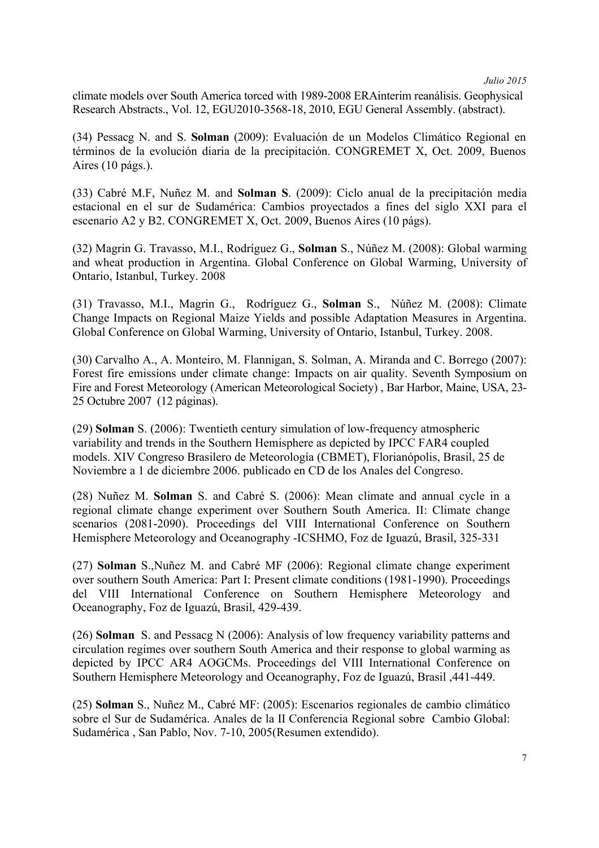climate models over South America torced with 1989-2008 ERAinterim reanálisis. Geophysical Research Abstracts., Vol. 12, EGU2010-3568-18, 2010, EGU General Assembly. (abstract).

(34) Pessacg N. and S. **Solman** (2009): Evaluación de un Modelos Climático Regional en términos de la evolución diaria de la precipitación. CONGREMET X, Oct. 2009, Buenos Aires (10 págs.).

(33) Cabré M.F, Nuñez M. and **Solman S**. (2009): Ciclo anual de la precipitación media estacional en el sur de Sudamérica: Cambios proyectados a fines del siglo XXI para el escenario A2 y B2. CONGREMET X, Oct. 2009, Buenos Aires (10 págs).

(32) Magrin G. Travasso, M.I., Rodríguez G., **Solman** S., Núñez M. (2008): Global warming and wheat production in Argentina. Global Conference on Global Warming, University of Ontario, Istanbul, Turkey. 2008

(31) Travasso, M.I., Magrin G., Rodríguez G., **Solman** S., Núñez M. (2008): Climate Change Impacts on Regional Maize Yields and possible Adaptation Measures in Argentina. Global Conference on Global Warming, University of Ontario, Istanbul, Turkey. 2008.

(30) Carvalho A., A. Monteiro, M. Flannigan, S. Solman, A. Miranda and C. Borrego (2007): Forest fire emissions under climate change: Impacts on air quality. Seventh Symposium on Fire and Forest Meteorology (American Meteorological Society) , Bar Harbor, Maine, USA, 23- 25 Octubre 2007 (12 páginas).

(29) **Solman** S. (2006): Twentieth century simulation of low-frequency atmospheric variability and trends in the Southern Hemisphere as depicted by IPCC FAR4 coupled models. XIV Congreso Brasilero de Meteorología (CBMET), Florianópolis, Brasil, 25 de Noviembre a 1 de diciembre 2006. publicado en CD de los Anales del Congreso.

(28) Nuñez M. **Solman** S. and Cabré S. (2006): Mean climate and annual cycle in a regional climate change experiment over Southern South America. II: Climate change scenarios (2081-2090). Proceedings del VIII International Conference on Southern Hemisphere Meteorology and Oceanography -ICSHMO, Foz de Iguazú, Brasil, 325-331

(27) **Solman** S.,Nuñez M. and Cabré MF (2006): Regional climate change experiment over southern South America: Part I: Present climate conditions (1981-1990). Proceedings del VIII International Conference on Southern Hemisphere Meteorology and Oceanography, Foz de Iguazú, Brasil, 429-439.

(26) **Solman** S. and Pessacg N (2006): Analysis of low frequency variability patterns and circulation regimes over southern South America and their response to global warming as depicted by IPCC AR4 AOGCMs. Proceedings del VIII International Conference on Southern Hemisphere Meteorology and Oceanography, Foz de Iguazú, Brasil ,441-449.

(25) **Solman** S., Nuñez M., Cabré MF: (2005): Escenarios regionales de cambio climático sobre el Sur de Sudamérica. Anales de la II Conferencia Regional sobre Cambio Global: Sudamérica , San Pablo, Nov. 7-10, 2005(Resumen extendido).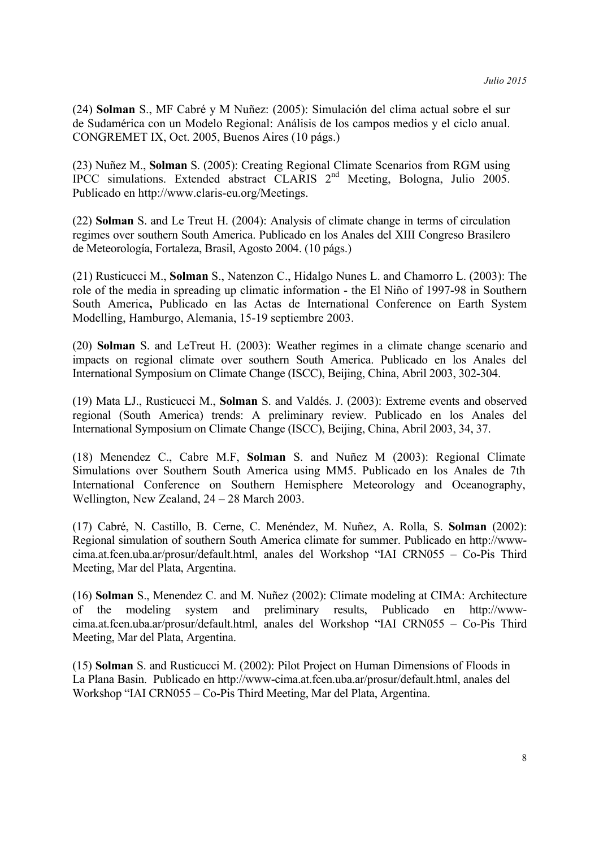(24) **Solman** S., MF Cabré y M Nuñez: (2005): Simulación del clima actual sobre el sur de Sudamérica con un Modelo Regional: Análisis de los campos medios y el ciclo anual. CONGREMET IX, Oct. 2005, Buenos Aires (10 págs.)

(23) Nuñez M., **Solman** S. (2005): Creating Regional Climate Scenarios from RGM using IPCC simulations. Extended abstract CLARIS 2nd Meeting, Bologna, Julio 2005. Publicado en http://www.claris-eu.org/Meetings.

(22) **Solman** S. and Le Treut H. (2004): Analysis of climate change in terms of circulation regimes over southern South America. Publicado en los Anales del XIII Congreso Brasilero de Meteorología, Fortaleza, Brasil, Agosto 2004. (10 págs.)

(21) Rusticucci M., **Solman** S., Natenzon C., Hidalgo Nunes L. and Chamorro L. (2003): The role of the media in spreading up climatic information - the El Niño of 1997-98 in Southern South America**,** Publicado en las Actas de International Conference on Earth System Modelling, Hamburgo, Alemania, 15-19 septiembre 2003.

(20) **Solman** S. and LeTreut H. (2003): Weather regimes in a climate change scenario and impacts on regional climate over southern South America. Publicado en los Anales del International Symposium on Climate Change (ISCC), Beijing, China, Abril 2003, 302-304.

(19) Mata LJ., Rusticucci M., **Solman** S. and Valdés. J. (2003): Extreme events and observed regional (South America) trends: A preliminary review. Publicado en los Anales del International Symposium on Climate Change (ISCC), Beijing, China, Abril 2003, 34, 37.

(18) Menendez C., Cabre M.F, **Solman** S. and Nuñez M (2003): Regional Climate Simulations over Southern South America using MM5. Publicado en los Anales de 7th International Conference on Southern Hemisphere Meteorology and Oceanography, Wellington, New Zealand, 24 – 28 March 2003.

(17) Cabré, N. Castillo, B. Cerne, C. Menéndez, M. Nuñez, A. Rolla, S. **Solman** (2002): Regional simulation of southern South America climate for summer. Publicado en http://wwwcima.at.fcen.uba.ar/prosur/default.html, anales del Workshop "IAI CRN055 – Co-Pis Third Meeting, Mar del Plata, Argentina.

(16) **Solman** S., Menendez C. and M. Nuñez (2002): Climate modeling at CIMA: Architecture of the modeling system and preliminary results, Publicado en http://wwwcima.at.fcen.uba.ar/prosur/default.html, anales del Workshop "IAI CRN055 – Co-Pis Third Meeting, Mar del Plata, Argentina.

(15) **Solman** S. and Rusticucci M. (2002): Pilot Project on Human Dimensions of Floods in La Plana Basin. Publicado en http://www-cima.at.fcen.uba.ar/prosur/default.html, anales del Workshop "IAI CRN055 – Co-Pis Third Meeting, Mar del Plata, Argentina.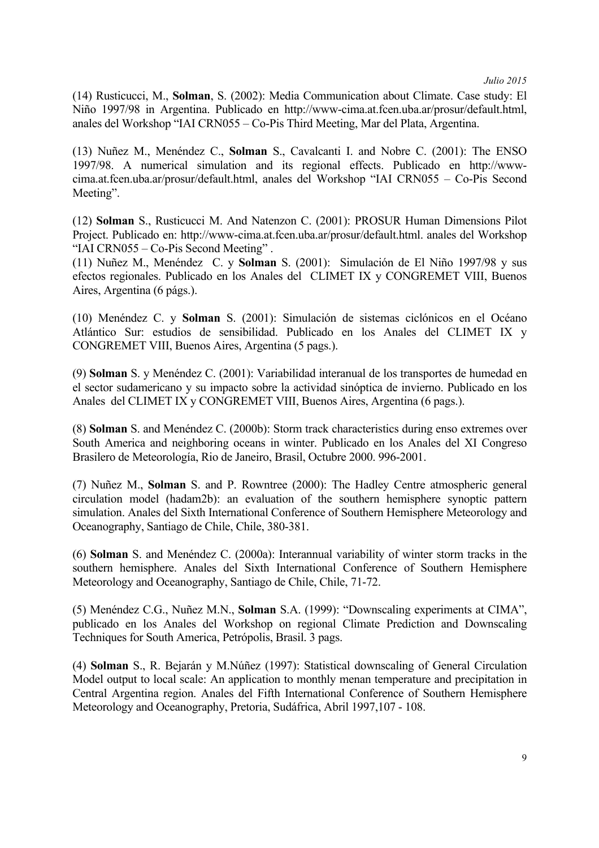(14) Rusticucci, M., **Solman**, S. (2002): Media Communication about Climate. Case study: El Niño 1997/98 in Argentina. Publicado en http://www-cima.at.fcen.uba.ar/prosur/default.html, anales del Workshop "IAI CRN055 – Co-Pis Third Meeting, Mar del Plata, Argentina.

(13) Nuñez M., Menéndez C., **Solman** S., Cavalcanti I. and Nobre C. (2001): The ENSO 1997/98. A numerical simulation and its regional effects. Publicado en http://wwwcima.at.fcen.uba.ar/prosur/default.html, anales del Workshop "IAI CRN055 – Co-Pis Second Meeting".

(12) **Solman** S., Rusticucci M. And Natenzon C. (2001): PROSUR Human Dimensions Pilot Project. Publicado en: http://www-cima.at.fcen.uba.ar/prosur/default.html. anales del Workshop "IAI CRN055 – Co-Pis Second Meeting" .

(11) Nuñez M., Menéndez C. y **Solman** S. (2001): Simulación de El Niño 1997/98 y sus efectos regionales. Publicado en los Anales del CLIMET IX y CONGREMET VIII, Buenos Aires, Argentina (6 págs.).

(10) Menéndez C. y **Solman** S. (2001): Simulación de sistemas ciclónicos en el Océano Atlántico Sur: estudios de sensibilidad. Publicado en los Anales del CLIMET IX y CONGREMET VIII, Buenos Aires, Argentina (5 pags.).

(9) **Solman** S. y Menéndez C. (2001): Variabilidad interanual de los transportes de humedad en el sector sudamericano y su impacto sobre la actividad sinóptica de invierno. Publicado en los Anales del CLIMET IX y CONGREMET VIII, Buenos Aires, Argentina (6 pags.).

(8) **Solman** S. and Menéndez C. (2000b): Storm track characteristics during enso extremes over South America and neighboring oceans in winter. Publicado en los Anales del XI Congreso Brasilero de Meteorología, Rio de Janeiro, Brasil, Octubre 2000. 996-2001.

(7) Nuñez M., **Solman** S. and P. Rowntree (2000): The Hadley Centre atmospheric general circulation model (hadam2b): an evaluation of the southern hemisphere synoptic pattern simulation. Anales del Sixth International Conference of Southern Hemisphere Meteorology and Oceanography, Santiago de Chile, Chile, 380-381.

(6) **Solman** S. and Menéndez C. (2000a): Interannual variability of winter storm tracks in the southern hemisphere. Anales del Sixth International Conference of Southern Hemisphere Meteorology and Oceanography, Santiago de Chile, Chile, 71-72.

(5) Menéndez C.G., Nuñez M.N., **Solman** S.A. (1999): "Downscaling experiments at CIMA", publicado en los Anales del Workshop on regional Climate Prediction and Downscaling Techniques for South America, Petrópolis, Brasil. 3 pags.

(4) **Solman** S., R. Bejarán y M.Núñez (1997): Statistical downscaling of General Circulation Model output to local scale: An application to monthly menan temperature and precipitation in Central Argentina region. Anales del Fifth International Conference of Southern Hemisphere Meteorology and Oceanography, Pretoria, Sudáfrica, Abril 1997,107 - 108.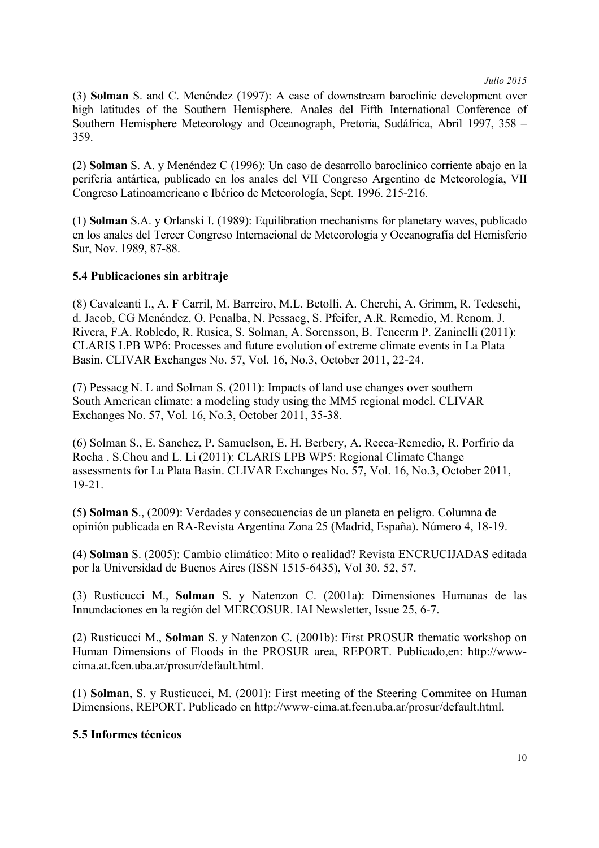(3) **Solman** S. and C. Menéndez (1997): A case of downstream baroclinic development over high latitudes of the Southern Hemisphere. Anales del Fifth International Conference of Southern Hemisphere Meteorology and Oceanograph, Pretoria, Sudáfrica, Abril 1997, 358 – 359.

(2) **Solman** S. A. y Menéndez C (1996): Un caso de desarrollo baroclínico corriente abajo en la periferia antártica, publicado en los anales del VII Congreso Argentino de Meteorología, VII Congreso Latinoamericano e Ibérico de Meteorología, Sept. 1996. 215-216.

(1) **Solman** S.A. y Orlanski I. (1989): Equilibration mechanisms for planetary waves, publicado en los anales del Tercer Congreso Internacional de Meteorología y Oceanografía del Hemisferio Sur, Nov. 1989, 87-88.

# **5.4 Publicaciones sin arbitraje**

(8) Cavalcanti I., A. F Carril, M. Barreiro, M.L. Betolli, A. Cherchi, A. Grimm, R. Tedeschi, d. Jacob, CG Menéndez, O. Penalba, N. Pessacg, S. Pfeifer, A.R. Remedio, M. Renom, J. Rivera, F.A. Robledo, R. Rusica, S. Solman, A. Sorensson, B. Tencerm P. Zaninelli (2011): CLARIS LPB WP6: Processes and future evolution of extreme climate events in La Plata Basin. CLIVAR Exchanges No. 57, Vol. 16, No.3, October 2011, 22-24.

(7) Pessacg N. L and Solman S. (2011): Impacts of land use changes over southern South American climate: a modeling study using the MM5 regional model. CLIVAR Exchanges No. 57, Vol. 16, No.3, October 2011, 35-38.

(6) Solman S., E. Sanchez, P. Samuelson, E. H. Berbery, A. Recca-Remedio, R. Porfirio da Rocha , S.Chou and L. Li (2011): CLARIS LPB WP5: Regional Climate Change assessments for La Plata Basin. CLIVAR Exchanges No. 57, Vol. 16, No.3, October 2011, 19-21.

(5**) Solman S**., (2009): Verdades y consecuencias de un planeta en peligro. Columna de opinión publicada en RA-Revista Argentina Zona 25 (Madrid, España). Número 4, 18-19.

(4) **Solman** S. (2005): Cambio climático: Mito o realidad? Revista ENCRUCIJADAS editada por la Universidad de Buenos Aires (ISSN 1515-6435), Vol 30. 52, 57.

(3) Rusticucci M., **Solman** S. y Natenzon C. (2001a): Dimensiones Humanas de las Innundaciones en la región del MERCOSUR. IAI Newsletter, Issue 25, 6-7.

(2) Rusticucci M., **Solman** S. y Natenzon C. (2001b): First PROSUR thematic workshop on Human Dimensions of Floods in the PROSUR area, REPORT. Publicado,en: http://wwwcima.at.fcen.uba.ar/prosur/default.html.

(1) **Solman**, S. y Rusticucci, M. (2001): First meeting of the Steering Commitee on Human Dimensions, REPORT. Publicado en http://www-cima.at.fcen.uba.ar/prosur/default.html.

## **5.5 Informes técnicos**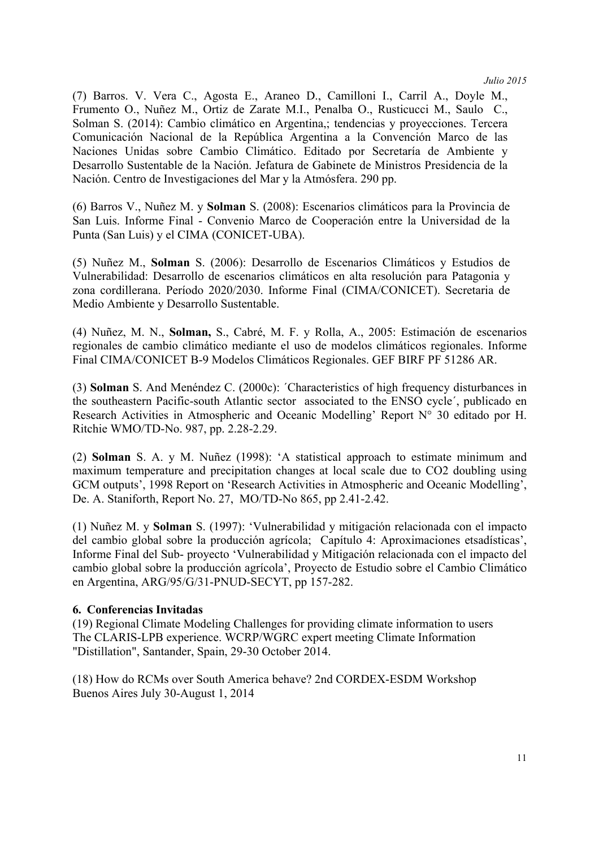(7) Barros. V. Vera C., Agosta E., Araneo D., Camilloni I., Carril A., Doyle M., Frumento O., Nuñez M., Ortiz de Zarate M.I., Penalba O., Rusticucci M., Saulo C., Solman S. (2014): Cambio climático en Argentina,; tendencias y proyecciones. Tercera Comunicación Nacional de la República Argentina a la Convención Marco de las Naciones Unidas sobre Cambio Climático. Editado por Secretaría de Ambiente y Desarrollo Sustentable de la Nación. Jefatura de Gabinete de Ministros Presidencia de la Nación. Centro de Investigaciones del Mar y la Atmósfera. 290 pp.

(6) Barros V., Nuñez M. y **Solman** S. (2008): Escenarios climáticos para la Provincia de San Luis. Informe Final - Convenio Marco de Cooperación entre la Universidad de la Punta (San Luis) y el CIMA (CONICET-UBA).

(5) Nuñez M., **Solman** S. (2006): Desarrollo de Escenarios Climáticos y Estudios de Vulnerabilidad: Desarrollo de escenarios climáticos en alta resolución para Patagonia y zona cordillerana. Período 2020/2030. Informe Final (CIMA/CONICET). Secretaria de Medio Ambiente y Desarrollo Sustentable.

(4) Nuñez, M. N., **Solman,** S., Cabré, M. F. y Rolla, A., 2005: Estimación de escenarios regionales de cambio climático mediante el uso de modelos climáticos regionales. Informe Final CIMA/CONICET B-9 Modelos Climáticos Regionales. GEF BIRF PF 51286 AR.

(3) **Solman** S. And Menéndez C. (2000c): ´Characteristics of high frequency disturbances in the southeastern Pacific-south Atlantic sector associated to the ENSO cycle´, publicado en Research Activities in Atmospheric and Oceanic Modelling' Report N° 30 editado por H. Ritchie WMO/TD-No. 987, pp. 2.28-2.29.

(2) **Solman** S. A. y M. Nuñez (1998): 'A statistical approach to estimate minimum and maximum temperature and precipitation changes at local scale due to CO2 doubling using GCM outputs', 1998 Report on 'Research Activities in Atmospheric and Oceanic Modelling', De. A. Staniforth, Report No. 27, MO/TD-No 865, pp 2.41-2.42.

(1) Nuñez M. y **Solman** S. (1997): 'Vulnerabilidad y mitigación relacionada con el impacto del cambio global sobre la producción agrícola; Capítulo 4: Aproximaciones etsadísticas', Informe Final del Sub- proyecto 'Vulnerabilidad y Mitigación relacionada con el impacto del cambio global sobre la producción agrícola', Proyecto de Estudio sobre el Cambio Climático en Argentina, ARG/95/G/31-PNUD-SECYT, pp 157-282.

## **6. Conferencias Invitadas**

(19) Regional Climate Modeling Challenges for providing climate information to users The CLARIS-LPB experience. WCRP/WGRC expert meeting Climate Information "Distillation", Santander, Spain, 29-30 October 2014.

(18) How do RCMs over South America behave? 2nd CORDEX-ESDM Workshop Buenos Aires July 30-August 1, 2014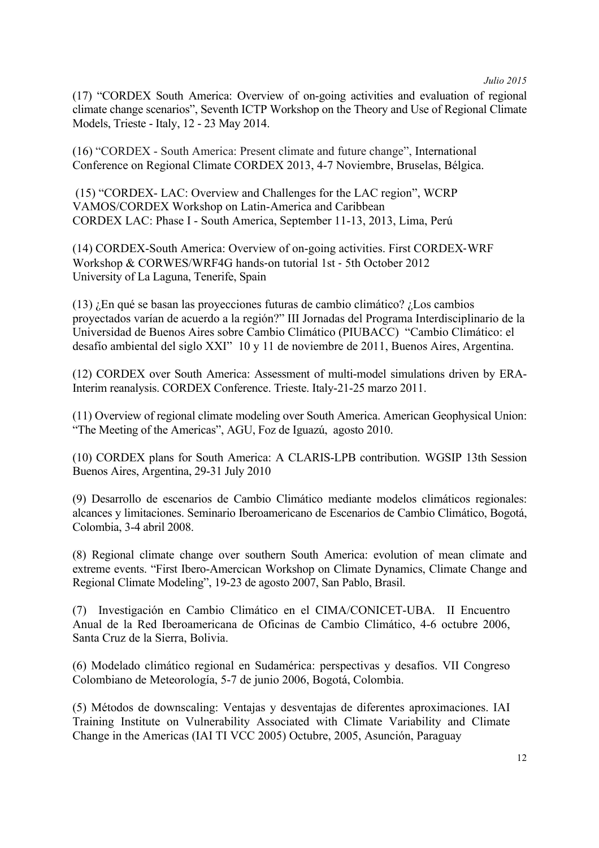(17) "CORDEX South America: Overview of on-going activities and evaluation of regional climate change scenarios", Seventh ICTP Workshop on the Theory and Use of Regional Climate Models, Trieste - Italy, 12 - 23 May 2014.

(16) "CORDEX - South America: Present climate and future change", International Conference on Regional Climate CORDEX 2013, 4-7 Noviembre, Bruselas, Bélgica.

(15) "CORDEX- LAC: Overview and Challenges for the LAC region", WCRP VAMOS/CORDEX Workshop on Latin-America and Caribbean CORDEX LAC: Phase I - South America, September 11-13, 2013, Lima, Perú

(14) CORDEX-South America: Overview of on-going activities. First CORDEX-WRF Workshop & CORWES/WRF4G hands-on tutorial 1st - 5th October 2012 University of La Laguna, Tenerife, Spain

(13) ¿En qué se basan las proyecciones futuras de cambio climático? ¿Los cambios proyectados varían de acuerdo a la región?" III Jornadas del Programa Interdisciplinario de la Universidad de Buenos Aires sobre Cambio Climático (PIUBACC) "Cambio Climático: el desafío ambiental del siglo XXI" 10 y 11 de noviembre de 2011, Buenos Aires, Argentina.

(12) CORDEX over South America: Assessment of multi-model simulations driven by ERA-Interim reanalysis. CORDEX Conference. Trieste. Italy-21-25 marzo 2011.

(11) Overview of regional climate modeling over South America. American Geophysical Union: "The Meeting of the Americas", AGU, Foz de Iguazú, agosto 2010.

(10) CORDEX plans for South America: A CLARIS-LPB contribution. WGSIP 13th Session Buenos Aires, Argentina, 29-31 July 2010

(9) Desarrollo de escenarios de Cambio Climático mediante modelos climáticos regionales: alcances y limitaciones. Seminario Iberoamericano de Escenarios de Cambio Climático, Bogotá, Colombia, 3-4 abril 2008.

(8) Regional climate change over southern South America: evolution of mean climate and extreme events. "First Ibero-Amercican Workshop on Climate Dynamics, Climate Change and Regional Climate Modeling", 19-23 de agosto 2007, San Pablo, Brasil.

(7) Investigación en Cambio Climático en el CIMA/CONICET-UBA. II Encuentro Anual de la Red Iberoamericana de Oficinas de Cambio Climático, 4-6 octubre 2006, Santa Cruz de la Sierra, Bolivia.

(6) Modelado climático regional en Sudamérica: perspectivas y desafíos. VII Congreso Colombiano de Meteorología, 5-7 de junio 2006, Bogotá, Colombia.

(5) Métodos de downscaling: Ventajas y desventajas de diferentes aproximaciones. IAI Training Institute on Vulnerability Associated with Climate Variability and Climate Change in the Americas (IAI TI VCC 2005) Octubre, 2005, Asunción, Paraguay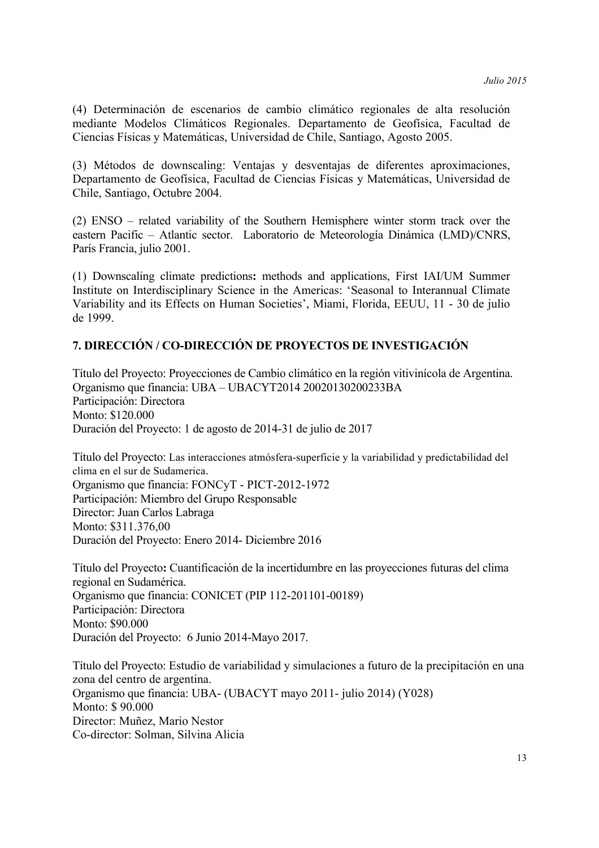(4) Determinación de escenarios de cambio climático regionales de alta resolución mediante Modelos Climáticos Regionales. Departamento de Geofísica, Facultad de Ciencias Físicas y Matemáticas, Universidad de Chile, Santiago, Agosto 2005.

(3) Métodos de downscaling: Ventajas y desventajas de diferentes aproximaciones, Departamento de Geofísica, Facultad de Ciencias Físicas y Matemáticas, Universidad de Chile, Santiago, Octubre 2004.

(2) ENSO – related variability of the Southern Hemisphere winter storm track over the eastern Pacific – Atlantic sector. Laboratorio de Meteorología Dinámica (LMD)/CNRS, París Francia, julio 2001.

(1) Downscaling climate predictions**:** methods and applications, First IAI/UM Summer Institute on Interdisciplinary Science in the Americas: 'Seasonal to Interannual Climate Variability and its Effects on Human Societies', Miami, Florida, EEUU, 11 - 30 de julio de 1999.

# **7. DIRECCIÓN / CO-DIRECCIÓN DE PROYECTOS DE INVESTIGACIÓN**

Título del Proyecto: Proyecciones de Cambio climático en la región vitivinícola de Argentina. Organismo que financia: UBA – UBACYT2014 20020130200233BA Participación: Directora Monto: \$120.000 Duración del Proyecto: 1 de agosto de 2014-31 de julio de 2017

Título del Proyecto: Las interacciones atmósfera-superficie y la variabilidad y predictabilidad del clima en el sur de Sudamerica. Organismo que financia: FONCyT - PICT-2012-1972 Participación: Miembro del Grupo Responsable Director: Juan Carlos Labraga Monto: \$311.376,00 Duración del Proyecto: Enero 2014- Diciembre 2016

Título del Proyecto**:** Cuantificación de la incertidumbre en las proyecciones futuras del clima regional en Sudamérica. Organismo que financia: CONICET (PIP 112-201101-00189) Participación: Directora Monto: \$90.000 Duración del Proyecto: 6 Junio 2014-Mayo 2017.

Título del Proyecto: Estudio de variabilidad y simulaciones a futuro de la precipitación en una zona del centro de argentina. Organismo que financia: UBA- (UBACYT mayo 2011- julio 2014) (Y028) Monto: \$ 90.000 Director: Muñez, Mario Nestor Co-director: Solman, Silvina Alicia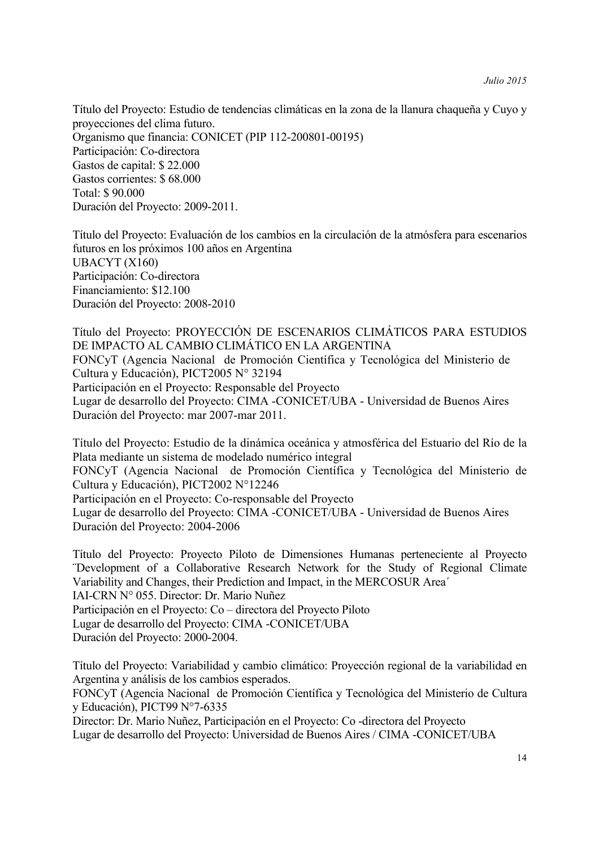Título del Proyecto: Estudio de tendencias climáticas en la zona de la llanura chaqueña y Cuyo y proyecciones del clima futuro. Organismo que financia: CONICET (PIP 112-200801-00195) Participación: Co-directora Gastos de capital: \$ 22.000 Gastos corrientes: \$ 68.000 Total: \$ 90.000 Duración del Proyecto: 2009-2011.

Título del Proyecto: Evaluación de los cambios en la circulación de la atmósfera para escenarios futuros en los próximos 100 años en Argentina UBACYT (X160) Participación: Co-directora Financiamiento: \$12.100 Duración del Proyecto: 2008-2010

Título del Proyecto: PROYECCIÓN DE ESCENARIOS CLIMÁTICOS PARA ESTUDIOS DE IMPACTO AL CAMBIO CLIMÁTICO EN LA ARGENTINA FONCyT (Agencia Nacional de Promoción Científica y Tecnológica del Ministerio de Cultura y Educación), PICT2005 N° 32194 Participación en el Proyecto: Responsable del Proyecto Lugar de desarrollo del Proyecto: CIMA -CONICET/UBA - Universidad de Buenos Aires Duración del Proyecto: mar 2007-mar 2011.

Título del Proyecto: Estudio de la dinámica oceánica y atmosférica del Estuario del Río de la Plata mediante un sistema de modelado numérico integral FONCyT (Agencia Nacional de Promoción Científica y Tecnológica del Ministerio de Cultura y Educación), PICT2002 N°12246 Participación en el Proyecto: Co-responsable del Proyecto Lugar de desarrollo del Proyecto: CIMA -CONICET/UBA - Universidad de Buenos Aires Duración del Proyecto: 2004-2006

Título del Proyecto: Proyecto Piloto de Dimensiones Humanas perteneciente al Proyecto ¨Development of a Collaborative Research Network for the Study of Regional Climate Variability and Changes, their Prediction and Impact, in the MERCOSUR Area´ IAI-CRN N° 055. Director: Dr. Mario Nuñez Participación en el Proyecto: Co – directora del Proyecto Piloto Lugar de desarrollo del Proyecto: CIMA -CONICET/UBA Duración del Proyecto: 2000-2004.

Título del Proyecto: Variabilidad y cambio climático: Proyección regional de la variabilidad en Argentina y análisis de los cambios esperados.

FONCyT (Agencia Nacional de Promoción Científica y Tecnológica del Ministerio de Cultura y Educación), PICT99 N°7-6335

Director: Dr. Mario Nuñez, Participación en el Proyecto: Co -directora del Proyecto Lugar de desarrollo del Proyecto: Universidad de Buenos Aires / CIMA -CONICET/UBA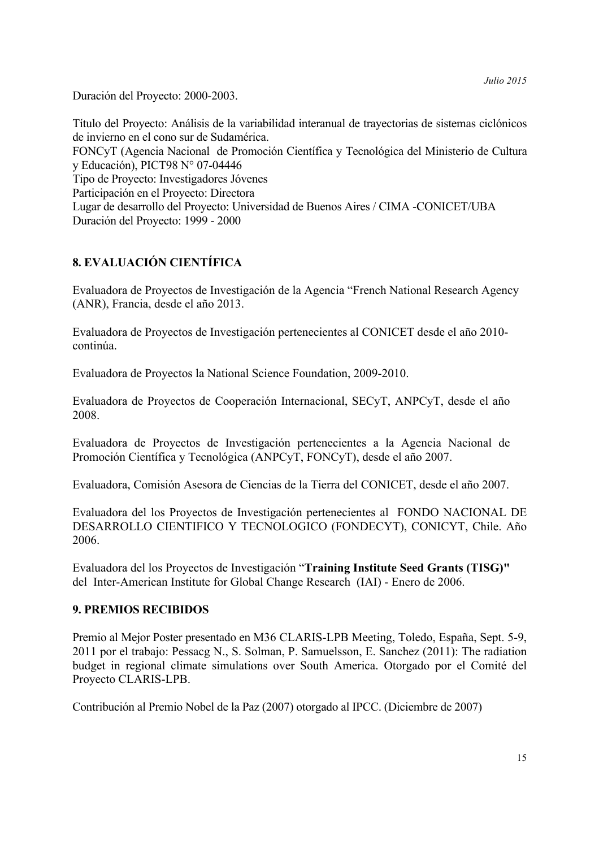Duración del Proyecto: 2000-2003.

Título del Proyecto: Análisis de la variabilidad interanual de trayectorias de sistemas ciclónicos de invierno en el cono sur de Sudamérica. FONCyT (Agencia Nacional de Promoción Científica y Tecnológica del Ministerio de Cultura y Educación), PICT98 N° 07-04446 Tipo de Proyecto: Investigadores Jóvenes Participación en el Proyecto: Directora Lugar de desarrollo del Proyecto: Universidad de Buenos Aires / CIMA -CONICET/UBA Duración del Proyecto: 1999 - 2000

# **8. EVALUACIÓN CIENTÍFICA**

Evaluadora de Proyectos de Investigación de la Agencia "French National Research Agency (ANR), Francia, desde el año 2013.

Evaluadora de Proyectos de Investigación pertenecientes al CONICET desde el año 2010 continúa.

Evaluadora de Proyectos la National Science Foundation, 2009-2010.

Evaluadora de Proyectos de Cooperación Internacional, SECyT, ANPCyT, desde el año 2008.

Evaluadora de Proyectos de Investigación pertenecientes a la Agencia Nacional de Promoción Científica y Tecnológica (ANPCyT, FONCyT), desde el año 2007.

Evaluadora, Comisión Asesora de Ciencias de la Tierra del CONICET, desde el año 2007.

Evaluadora del los Proyectos de Investigación pertenecientes al FONDO NACIONAL DE DESARROLLO CIENTIFICO Y TECNOLOGICO (FONDECYT), CONICYT, Chile. Año 2006.

Evaluadora del los Proyectos de Investigación "**Training Institute Seed Grants (TISG)"**  del Inter-American Institute for Global Change Research (IAI) - Enero de 2006.

# **9. PREMIOS RECIBIDOS**

Premio al Mejor Poster presentado en M36 CLARIS-LPB Meeting, Toledo, España, Sept. 5-9, 2011 por el trabajo: Pessacg N., S. Solman, P. Samuelsson, E. Sanchez (2011): The radiation budget in regional climate simulations over South America. Otorgado por el Comité del Proyecto CLARIS-LPB.

Contribución al Premio Nobel de la Paz (2007) otorgado al IPCC. (Diciembre de 2007)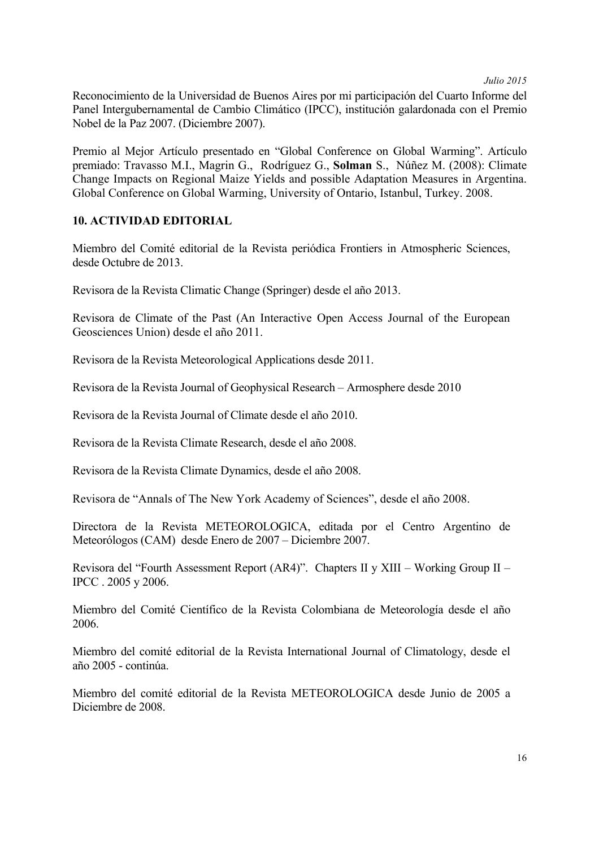Reconocimiento de la Universidad de Buenos Aires por mi participación del Cuarto Informe del Panel Intergubernamental de Cambio Climático (IPCC), institución galardonada con el Premio Nobel de la Paz 2007. (Diciembre 2007).

Premio al Mejor Artículo presentado en "Global Conference on Global Warming". Artículo premiado: Travasso M.I., Magrin G., Rodríguez G., **Solman** S., Núñez M. (2008): Climate Change Impacts on Regional Maize Yields and possible Adaptation Measures in Argentina. Global Conference on Global Warming, University of Ontario, Istanbul, Turkey. 2008.

## **10. ACTIVIDAD EDITORIAL**

Miembro del Comité editorial de la Revista periódica Frontiers in Atmospheric Sciences, desde Octubre de 2013.

Revisora de la Revista Climatic Change (Springer) desde el año 2013.

Revisora de Climate of the Past (An Interactive Open Access Journal of the European Geosciences Union) desde el año 2011.

Revisora de la Revista Meteorological Applications desde 2011.

Revisora de la Revista Journal of Geophysical Research – Armosphere desde 2010

Revisora de la Revista Journal of Climate desde el año 2010.

Revisora de la Revista Climate Research, desde el año 2008.

Revisora de la Revista Climate Dynamics, desde el año 2008.

Revisora de "Annals of The New York Academy of Sciences", desde el año 2008.

Directora de la Revista METEOROLOGICA, editada por el Centro Argentino de Meteorólogos (CAM) desde Enero de 2007 – Diciembre 2007.

Revisora del "Fourth Assessment Report (AR4)". Chapters II y XIII – Working Group II – IPCC . 2005 y 2006.

Miembro del Comité Científico de la Revista Colombiana de Meteorología desde el año 2006.

Miembro del comité editorial de la Revista International Journal of Climatology, desde el año 2005 - continúa.

Miembro del comité editorial de la Revista METEOROLOGICA desde Junio de 2005 a Diciembre de 2008.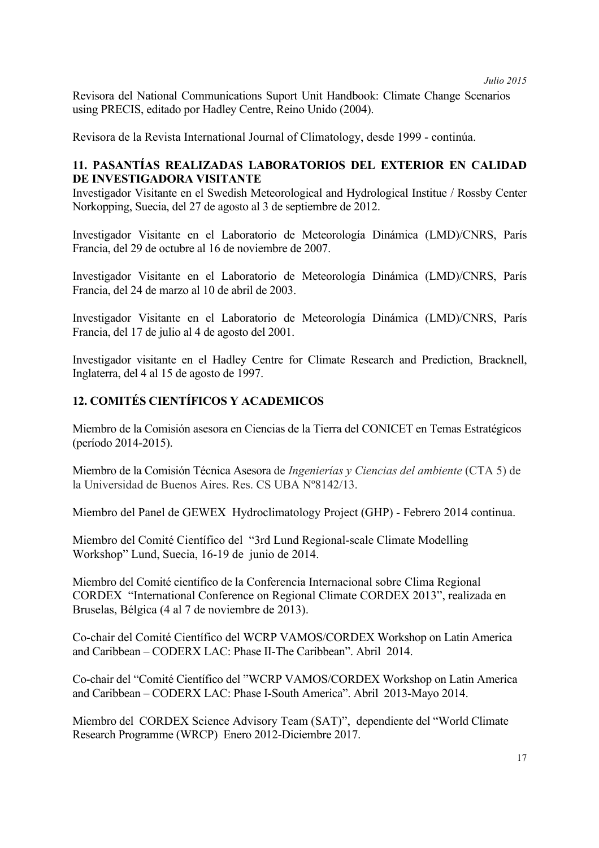Revisora del National Communications Suport Unit Handbook: Climate Change Scenarios using PRECIS, editado por Hadley Centre, Reino Unido (2004).

Revisora de la Revista International Journal of Climatology, desde 1999 - continúa.

# **11. PASANTÍAS REALIZADAS LABORATORIOS DEL EXTERIOR EN CALIDAD DE INVESTIGADORA VISITANTE**

Investigador Visitante en el Swedish Meteorological and Hydrological Institue / Rossby Center Norkopping, Suecia, del 27 de agosto al 3 de septiembre de 2012.

Investigador Visitante en el Laboratorio de Meteorología Dinámica (LMD)/CNRS, París Francia, del 29 de octubre al 16 de noviembre de 2007.

Investigador Visitante en el Laboratorio de Meteorología Dinámica (LMD)/CNRS, París Francia, del 24 de marzo al 10 de abril de 2003.

Investigador Visitante en el Laboratorio de Meteorología Dinámica (LMD)/CNRS, París Francia, del 17 de julio al 4 de agosto del 2001.

Investigador visitante en el Hadley Centre for Climate Research and Prediction, Bracknell, Inglaterra, del 4 al 15 de agosto de 1997.

# **12. COMITÉS CIENTÍFICOS Y ACADEMICOS**

Miembro de la Comisión asesora en Ciencias de la Tierra del CONICET en Temas Estratégicos (período 2014-2015).

Miembro de la Comisión Técnica Asesora de *Ingenierías y Ciencias del ambiente* (CTA 5) de la Universidad de Buenos Aires. Res. CS UBA Nº8142/13.

Miembro del Panel de GEWEX Hydroclimatology Project (GHP) - Febrero 2014 continua.

Miembro del Comité Científico del "3rd Lund Regional-scale Climate Modelling Workshop" Lund, Suecia, 16-19 de junio de 2014.

Miembro del Comité científico de la Conferencia Internacional sobre Clima Regional CORDEX "International Conference on Regional Climate CORDEX 2013", realizada en Bruselas, Bélgica (4 al 7 de noviembre de 2013).

Co-chair del Comité Científico del WCRP VAMOS/CORDEX Workshop on Latin America and Caribbean – CODERX LAC: Phase II-The Caribbean". Abril 2014.

Co-chair del "Comité Científico del "WCRP VAMOS/CORDEX Workshop on Latin America and Caribbean – CODERX LAC: Phase I-South America". Abril 2013-Mayo 2014.

Miembro del CORDEX Science Advisory Team (SAT)", dependiente del "World Climate Research Programme (WRCP) Enero 2012-Diciembre 2017.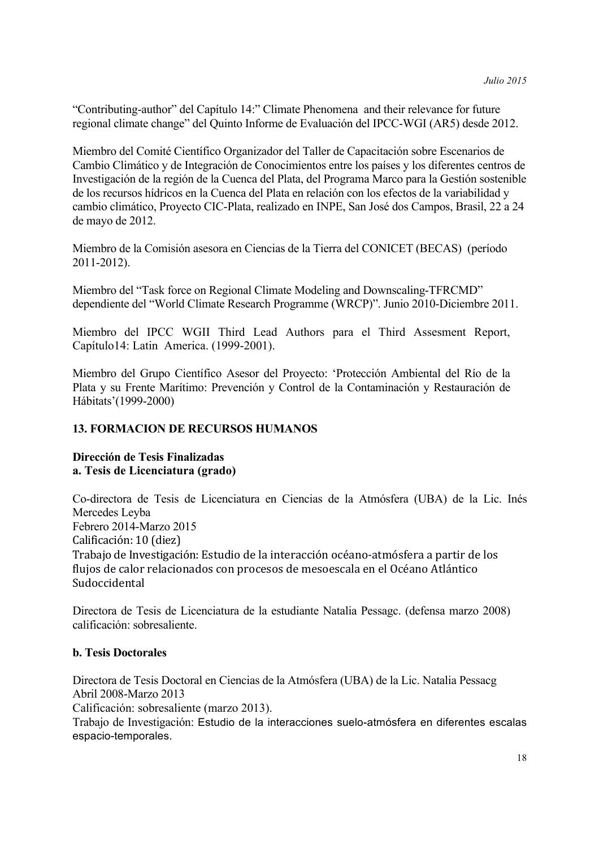"Contributing-author" del Capítulo 14:" Climate Phenomena and their relevance for future regional climate change" del Quinto Informe de Evaluación del IPCC-WGI (AR5) desde 2012.

Miembro del Comité Científico Organizador del Taller de Capacitación sobre Escenarios de Cambio Climático y de Integración de Conocimientos entre los países y los diferentes centros de Investigación de la región de la Cuenca del Plata, del Programa Marco para la Gestión sostenible de los recursos hídricos en la Cuenca del Plata en relación con los efectos de la variabilidad y cambio climático, Proyecto CIC-Plata, realizado en INPE, San José dos Campos, Brasil, 22 a 24 de mayo de 2012.

Miembro de la Comisión asesora en Ciencias de la Tierra del CONICET (BECAS) (período 2011-2012).

Miembro del "Task force on Regional Climate Modeling and Downscaling-TFRCMD" dependiente del "World Climate Research Programme (WRCP)". Junio 2010-Diciembre 2011.

Miembro del IPCC WGII Third Lead Authors para el Third Assesment Report, Capítulo14: Latin America. (1999-2001).

Miembro del Grupo Científico Asesor del Proyecto: 'Protección Ambiental del Río de la Plata y su Frente Marítimo: Prevención y Control de la Contaminación y Restauración de Hábitats'(1999-2000)

# **13. FORMACION DE RECURSOS HUMANOS**

# **Dirección de Tesis Finalizadas a. Tesis de Licenciatura (grado)**

Co-directora de Tesis de Licenciatura en Ciencias de la Atmósfera (UBA) de la Lic. Inés Mercedes Leyba Febrero 2014-Marzo 2015 Calificación: 10 (diez) Trabajo de Investigación: Estudio de la interacción océano-atmósfera a partir de los flujos de calor relacionados con procesos de mesoescala en el Océano Atlántico Sudoccidental

Directora de Tesis de Licenciatura de la estudiante Natalia Pessagc. (defensa marzo 2008) calificación: sobresaliente.

## **b. Tesis Doctorales**

Directora de Tesis Doctoral en Ciencias de la Atmósfera (UBA) de la Lic. Natalia Pessacg Abril 2008-Marzo 2013

Calificación: sobresaliente (marzo 2013).

Trabajo de Investigación: Estudio de la interacciones suelo-atmósfera en diferentes escalas espacio-temporales.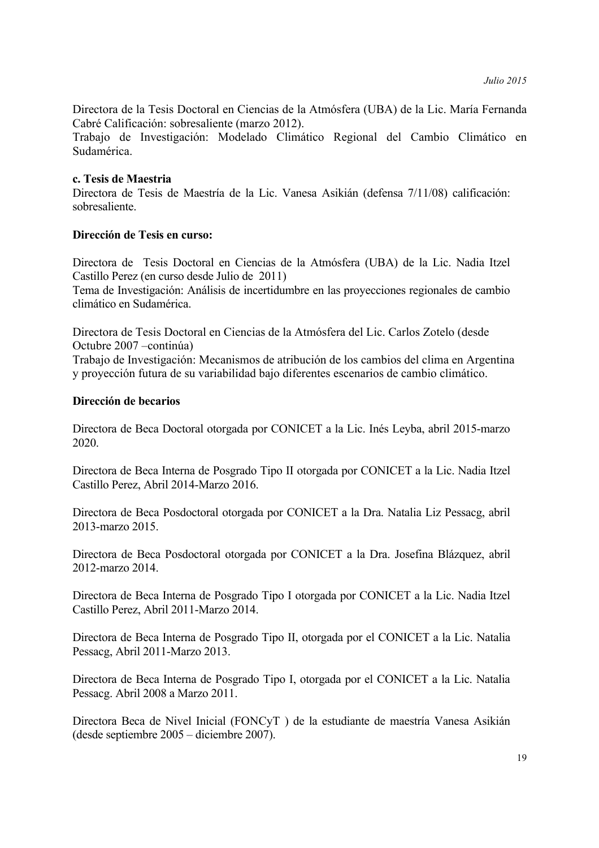Directora de la Tesis Doctoral en Ciencias de la Atmósfera (UBA) de la Lic. María Fernanda Cabré Calificación: sobresaliente (marzo 2012).

Trabajo de Investigación: Modelado Climático Regional del Cambio Climático en Sudamérica.

#### **c. Tesis de Maestria**

Directora de Tesis de Maestría de la Lic. Vanesa Asikián (defensa 7/11/08) calificación: sobresaliente.

#### **Dirección de Tesis en curso:**

Directora de Tesis Doctoral en Ciencias de la Atmósfera (UBA) de la Lic. Nadia Itzel Castillo Perez (en curso desde Julio de 2011)

Tema de Investigación: Análisis de incertidumbre en las proyecciones regionales de cambio climático en Sudamérica.

Directora de Tesis Doctoral en Ciencias de la Atmósfera del Lic. Carlos Zotelo (desde Octubre 2007 –continúa)

Trabajo de Investigación: Mecanismos de atribución de los cambios del clima en Argentina y proyección futura de su variabilidad bajo diferentes escenarios de cambio climático.

#### **Dirección de becarios**

Directora de Beca Doctoral otorgada por CONICET a la Lic. Inés Leyba, abril 2015-marzo 2020.

Directora de Beca Interna de Posgrado Tipo II otorgada por CONICET a la Lic. Nadia Itzel Castillo Perez, Abril 2014-Marzo 2016.

Directora de Beca Posdoctoral otorgada por CONICET a la Dra. Natalia Liz Pessacg, abril 2013-marzo 2015.

Directora de Beca Posdoctoral otorgada por CONICET a la Dra. Josefina Blázquez, abril 2012-marzo 2014.

Directora de Beca Interna de Posgrado Tipo I otorgada por CONICET a la Lic. Nadia Itzel Castillo Perez, Abril 2011-Marzo 2014.

Directora de Beca Interna de Posgrado Tipo II, otorgada por el CONICET a la Lic. Natalia Pessacg, Abril 2011-Marzo 2013.

Directora de Beca Interna de Posgrado Tipo I, otorgada por el CONICET a la Lic. Natalia Pessacg. Abril 2008 a Marzo 2011.

Directora Beca de Nivel Inicial (FONCyT ) de la estudiante de maestría Vanesa Asikián (desde septiembre 2005 – diciembre 2007).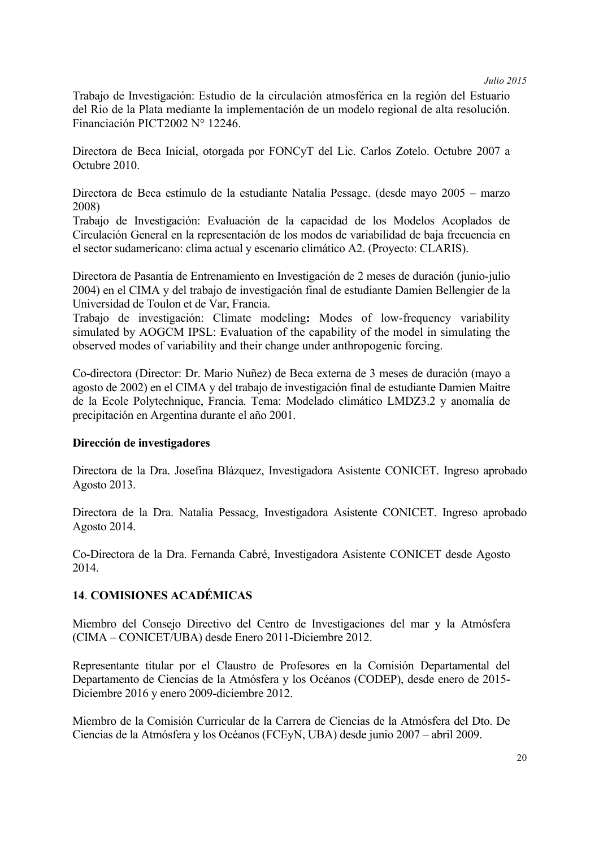Trabajo de Investigación: Estudio de la circulación atmosférica en la región del Estuario del Rio de la Plata mediante la implementación de un modelo regional de alta resolución. Financiación PICT2002 N° 12246.

Directora de Beca Inicial, otorgada por FONCyT del Lic. Carlos Zotelo. Octubre 2007 a Octubre 2010.

Directora de Beca estímulo de la estudiante Natalia Pessagc. (desde mayo 2005 – marzo 2008)

Trabajo de Investigación: Evaluación de la capacidad de los Modelos Acoplados de Circulación General en la representación de los modos de variabilidad de baja frecuencia en el sector sudamericano: clima actual y escenario climático A2. (Proyecto: CLARIS).

Directora de Pasantía de Entrenamiento en Investigación de 2 meses de duración (junio-julio 2004) en el CIMA y del trabajo de investigación final de estudiante Damien Bellengier de la Universidad de Toulon et de Var, Francia.

Trabajo de investigación: Climate modeling**:** Modes of low-frequency variability simulated by AOGCM IPSL: Evaluation of the capability of the model in simulating the observed modes of variability and their change under anthropogenic forcing.

Co-directora (Director: Dr. Mario Nuñez) de Beca externa de 3 meses de duración (mayo a agosto de 2002) en el CIMA y del trabajo de investigación final de estudiante Damien Maitre de la Ecole Polytechnique, Francia. Tema: Modelado climático LMDZ3.2 y anomalía de precipitación en Argentina durante el año 2001.

#### **Dirección de investigadores**

Directora de la Dra. Josefina Blázquez, Investigadora Asistente CONICET. Ingreso aprobado Agosto 2013.

Directora de la Dra. Natalia Pessacg, Investigadora Asistente CONICET. Ingreso aprobado Agosto 2014.

Co-Directora de la Dra. Fernanda Cabré, Investigadora Asistente CONICET desde Agosto 2014.

## **14**. **COMISIONES ACADÉMICAS**

Miembro del Consejo Directivo del Centro de Investigaciones del mar y la Atmósfera (CIMA – CONICET/UBA) desde Enero 2011-Diciembre 2012.

Representante titular por el Claustro de Profesores en la Comisión Departamental del Departamento de Ciencias de la Atmósfera y los Océanos (CODEP), desde enero de 2015- Diciembre 2016 y enero 2009-diciembre 2012.

Miembro de la Comisión Curricular de la Carrera de Ciencias de la Atmósfera del Dto. De Ciencias de la Atmósfera y los Océanos (FCEyN, UBA) desde junio 2007 – abril 2009.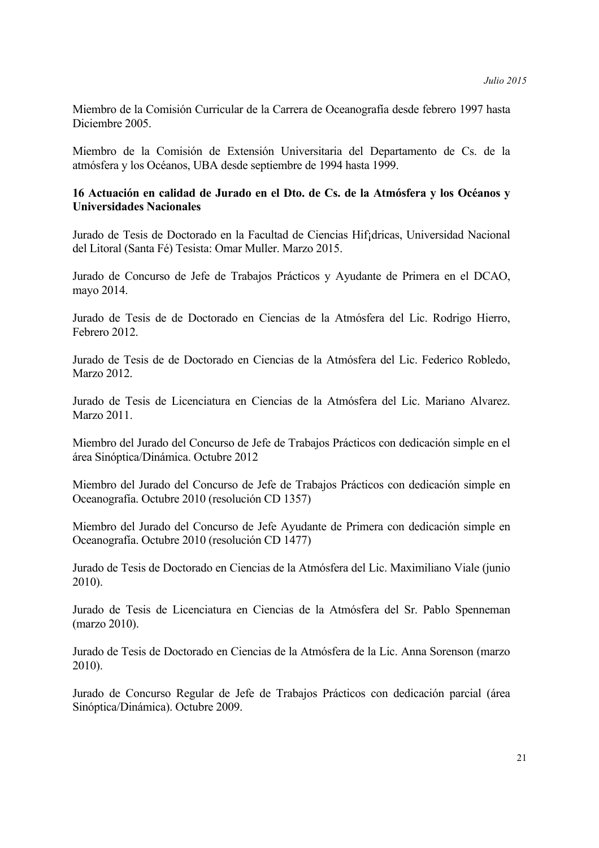Miembro de la Comisión Curricular de la Carrera de Oceanografía desde febrero 1997 hasta Diciembre 2005.

Miembro de la Comisión de Extensión Universitaria del Departamento de Cs. de la atmósfera y los Océanos, UBA desde septiembre de 1994 hasta 1999.

## **16 Actuación en calidad de Jurado en el Dto. de Cs. de la Atmósfera y los Océanos y Universidades Nacionales**

Jurado de Tesis de Doctorado en la Facultad de Ciencias Hif¡dricas, Universidad Nacional del Litoral (Santa Fé) Tesista: Omar Muller. Marzo 2015.

Jurado de Concurso de Jefe de Trabajos Prácticos y Ayudante de Primera en el DCAO, mayo 2014.

Jurado de Tesis de de Doctorado en Ciencias de la Atmósfera del Lic. Rodrigo Hierro, Febrero 2012.

Jurado de Tesis de de Doctorado en Ciencias de la Atmósfera del Lic. Federico Robledo, Marzo 2012.

Jurado de Tesis de Licenciatura en Ciencias de la Atmósfera del Lic. Mariano Alvarez. Marzo 2011.

Miembro del Jurado del Concurso de Jefe de Trabajos Prácticos con dedicación simple en el área Sinóptica/Dinámica. Octubre 2012

Miembro del Jurado del Concurso de Jefe de Trabajos Prácticos con dedicación simple en Oceanografía. Octubre 2010 (resolución CD 1357)

Miembro del Jurado del Concurso de Jefe Ayudante de Primera con dedicación simple en Oceanografía. Octubre 2010 (resolución CD 1477)

Jurado de Tesis de Doctorado en Ciencias de la Atmósfera del Lic. Maximiliano Viale (junio 2010).

Jurado de Tesis de Licenciatura en Ciencias de la Atmósfera del Sr. Pablo Spenneman (marzo 2010).

Jurado de Tesis de Doctorado en Ciencias de la Atmósfera de la Lic. Anna Sorenson (marzo 2010).

Jurado de Concurso Regular de Jefe de Trabajos Prácticos con dedicación parcial (área Sinóptica/Dinámica). Octubre 2009.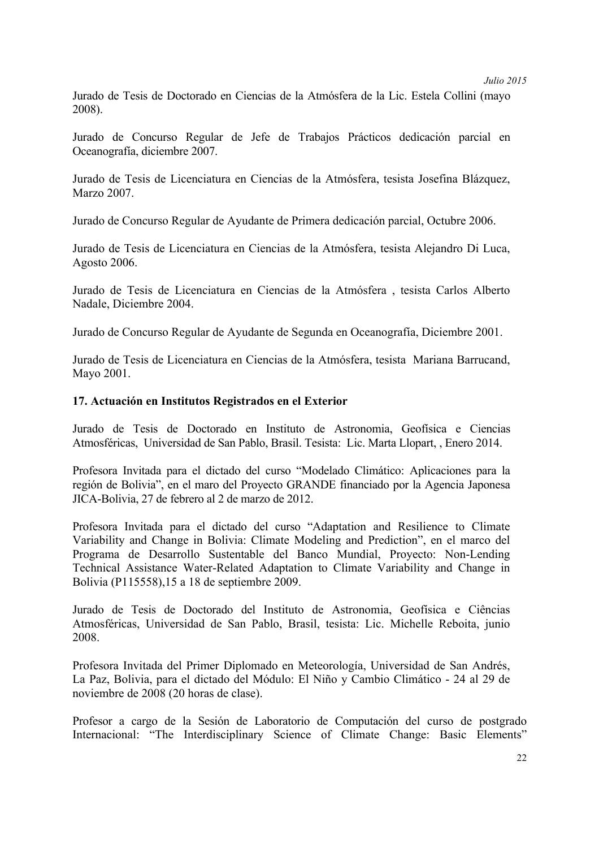Jurado de Tesis de Doctorado en Ciencias de la Atmósfera de la Lic. Estela Collini (mayo 2008).

Jurado de Concurso Regular de Jefe de Trabajos Prácticos dedicación parcial en Oceanografía, diciembre 2007.

Jurado de Tesis de Licenciatura en Ciencias de la Atmósfera, tesista Josefina Blázquez, Marzo 2007.

Jurado de Concurso Regular de Ayudante de Primera dedicación parcial, Octubre 2006.

Jurado de Tesis de Licenciatura en Ciencias de la Atmósfera, tesista Alejandro Di Luca, Agosto 2006.

Jurado de Tesis de Licenciatura en Ciencias de la Atmósfera , tesista Carlos Alberto Nadale, Diciembre 2004.

Jurado de Concurso Regular de Ayudante de Segunda en Oceanografía, Diciembre 2001.

Jurado de Tesis de Licenciatura en Ciencias de la Atmósfera, tesista Mariana Barrucand, Mayo 2001.

## **17. Actuación en Institutos Registrados en el Exterior**

Jurado de Tesis de Doctorado en Instituto de Astronomia, Geofísica e Ciencias Atmosféricas, Universidad de San Pablo, Brasil. Tesista: Lic. Marta Llopart, , Enero 2014.

Profesora Invitada para el dictado del curso "Modelado Climático: Aplicaciones para la región de Bolivia", en el maro del Proyecto GRANDE financiado por la Agencia Japonesa JICA-Bolivia, 27 de febrero al 2 de marzo de 2012.

Profesora Invitada para el dictado del curso "Adaptation and Resilience to Climate Variability and Change in Bolivia: Climate Modeling and Prediction", en el marco del Programa de Desarrollo Sustentable del Banco Mundial, Proyecto: Non-Lending Technical Assistance Water-Related Adaptation to Climate Variability and Change in Bolivia (P115558),15 a 18 de septiembre 2009.

Jurado de Tesis de Doctorado del Instituto de Astronomia, Geofísica e Ciências Atmosféricas, Universidad de San Pablo, Brasil, tesista: Lic. Michelle Reboita, junio 2008.

Profesora Invitada del Primer Diplomado en Meteorología, Universidad de San Andrés, La Paz, Bolivia, para el dictado del Módulo: El Niño y Cambio Climático - 24 al 29 de noviembre de 2008 (20 horas de clase).

Profesor a cargo de la Sesión de Laboratorio de Computación del curso de postgrado Internacional: "The Interdisciplinary Science of Climate Change: Basic Elements"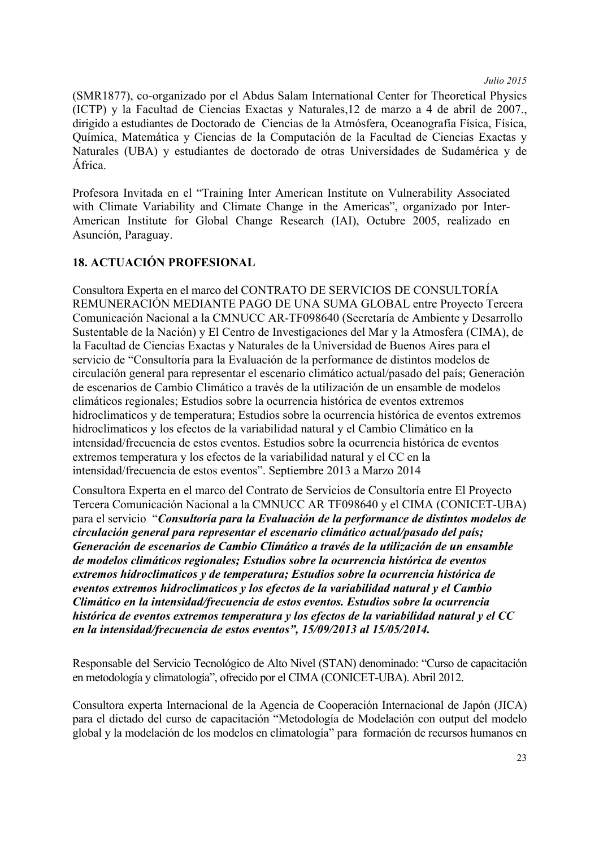(SMR1877), co-organizado por el Abdus Salam International Center for Theoretical Physics (ICTP) y la Facultad de Ciencias Exactas y Naturales,12 de marzo a 4 de abril de 2007., dirigido a estudiantes de Doctorado de Ciencias de la Atmósfera, Oceanografía Física, Física, Química, Matemática y Ciencias de la Computación de la Facultad de Ciencias Exactas y Naturales (UBA) y estudiantes de doctorado de otras Universidades de Sudamérica y de África.

Profesora Invitada en el "Training Inter American Institute on Vulnerability Associated with Climate Variability and Climate Change in the Americas", organizado por Inter-American Institute for Global Change Research (IAI), Octubre 2005, realizado en Asunción, Paraguay.

# **18. ACTUACIÓN PROFESIONAL**

Consultora Experta en el marco del CONTRATO DE SERVICIOS DE CONSULTORÍA REMUNERACIÓN MEDIANTE PAGO DE UNA SUMA GLOBAL entre Proyecto Tercera Comunicación Nacional a la CMNUCC AR-TF098640 (Secretaría de Ambiente y Desarrollo Sustentable de la Nación) y El Centro de Investigaciones del Mar y la Atmosfera (CIMA), de la Facultad de Ciencias Exactas y Naturales de la Universidad de Buenos Aires para el servicio de "Consultoría para la Evaluación de la performance de distintos modelos de circulación general para representar el escenario climático actual/pasado del país; Generación de escenarios de Cambio Climático a través de la utilización de un ensamble de modelos climáticos regionales; Estudios sobre la ocurrencia histórica de eventos extremos hidroclimaticos y de temperatura; Estudios sobre la ocurrencia histórica de eventos extremos hidroclimaticos y los efectos de la variabilidad natural y el Cambio Climático en la intensidad/frecuencia de estos eventos. Estudios sobre la ocurrencia histórica de eventos extremos temperatura y los efectos de la variabilidad natural y el CC en la intensidad/frecuencia de estos eventos". Septiembre 2013 a Marzo 2014

Consultora Experta en el marco del Contrato de Servicios de Consultoría entre El Proyecto Tercera Comunicación Nacional a la CMNUCC AR TF098640 y el CIMA (CONICET-UBA) para el servicio "*Consultoría para la Evaluación de la performance de distintos modelos de circulación general para representar el escenario climático actual/pasado del país; Generación de escenarios de Cambio Climático a través de la utilización de un ensamble de modelos climáticos regionales; Estudios sobre la ocurrencia histórica de eventos extremos hidroclimaticos y de temperatura; Estudios sobre la ocurrencia histórica de eventos extremos hidroclimaticos y los efectos de la variabilidad natural y el Cambio Climático en la intensidad/frecuencia de estos eventos. Estudios sobre la ocurrencia histórica de eventos extremos temperatura y los efectos de la variabilidad natural y el CC en la intensidad/frecuencia de estos eventos", 15/09/2013 al 15/05/2014.*

Responsable del Servicio Tecnológico de Alto Nivel (STAN) denominado: "Curso de capacitación en metodología y climatología", ofrecido por el CIMA (CONICET-UBA). Abril 2012.

Consultora experta Internacional de la Agencia de Cooperación Internacional de Japón (JICA) para el dictado del curso de capacitación "Metodología de Modelación con output del modelo global y la modelación de los modelos en climatología" para formación de recursos humanos en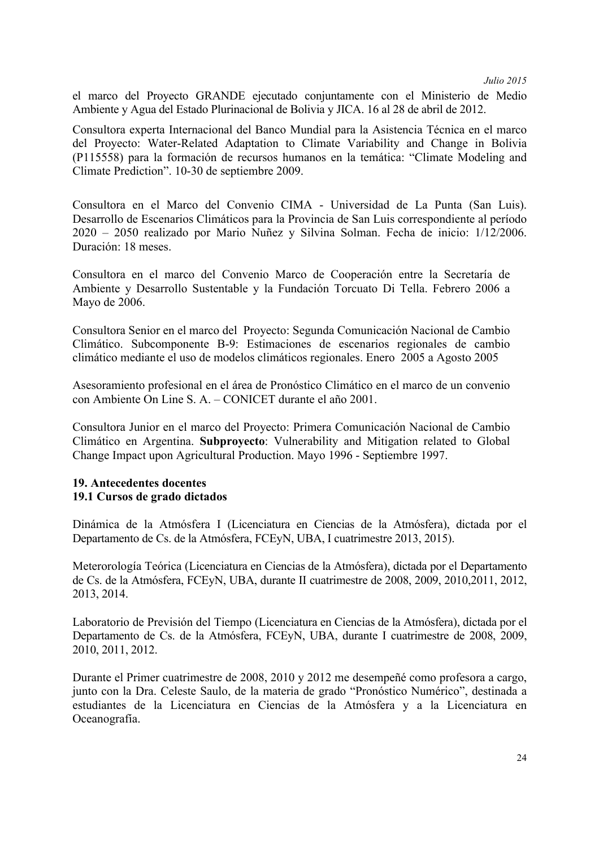el marco del Proyecto GRANDE ejecutado conjuntamente con el Ministerio de Medio Ambiente y Agua del Estado Plurinacional de Bolivia y JICA. 16 al 28 de abril de 2012.

Consultora experta Internacional del Banco Mundial para la Asistencia Técnica en el marco del Proyecto: Water-Related Adaptation to Climate Variability and Change in Bolivia (P115558) para la formación de recursos humanos en la temática: "Climate Modeling and Climate Prediction". 10-30 de septiembre 2009.

Consultora en el Marco del Convenio CIMA - Universidad de La Punta (San Luis). Desarrollo de Escenarios Climáticos para la Provincia de San Luis correspondiente al período 2020 – 2050 realizado por Mario Nuñez y Silvina Solman. Fecha de inicio: 1/12/2006. Duración: 18 meses.

Consultora en el marco del Convenio Marco de Cooperación entre la Secretaría de Ambiente y Desarrollo Sustentable y la Fundación Torcuato Di Tella. Febrero 2006 a Mayo de 2006.

Consultora Senior en el marco del Proyecto: Segunda Comunicación Nacional de Cambio Climático. Subcomponente B-9: Estimaciones de escenarios regionales de cambio climático mediante el uso de modelos climáticos regionales. Enero 2005 a Agosto 2005

Asesoramiento profesional en el área de Pronóstico Climático en el marco de un convenio con Ambiente On Line S. A. – CONICET durante el año 2001.

Consultora Junior en el marco del Proyecto: Primera Comunicación Nacional de Cambio Climático en Argentina. **Subproyecto**: Vulnerability and Mitigation related to Global Change Impact upon Agricultural Production. Mayo 1996 - Septiembre 1997.

## **19. Antecedentes docentes 19.1 Cursos de grado dictados**

Dinámica de la Atmósfera I (Licenciatura en Ciencias de la Atmósfera), dictada por el Departamento de Cs. de la Atmósfera, FCEyN, UBA, I cuatrimestre 2013, 2015).

Meterorología Teórica (Licenciatura en Ciencias de la Atmósfera), dictada por el Departamento de Cs. de la Atmósfera, FCEyN, UBA, durante II cuatrimestre de 2008, 2009, 2010,2011, 2012, 2013, 2014.

Laboratorio de Previsión del Tiempo (Licenciatura en Ciencias de la Atmósfera), dictada por el Departamento de Cs. de la Atmósfera, FCEyN, UBA, durante I cuatrimestre de 2008, 2009, 2010, 2011, 2012.

Durante el Primer cuatrimestre de 2008, 2010 y 2012 me desempeñé como profesora a cargo, junto con la Dra. Celeste Saulo, de la materia de grado "Pronóstico Numérico", destinada a estudiantes de la Licenciatura en Ciencias de la Atmósfera y a la Licenciatura en Oceanografía.